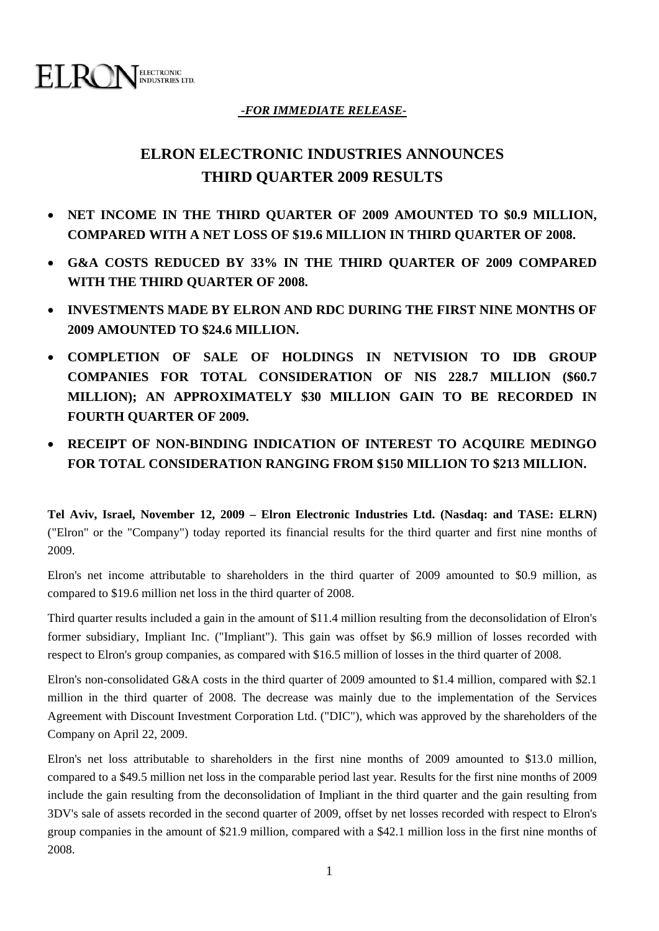

# *-FOR IMMEDIATE RELEASE-*

# **ELRON ELECTRONIC INDUSTRIES ANNOUNCES THIRD QUARTER 2009 RESULTS**

- **NET INCOME IN THE THIRD QUARTER OF 2009 AMOUNTED TO \$0.9 MILLION, COMPARED WITH A NET LOSS OF \$19.6 MILLION IN THIRD QUARTER OF 2008.**
- **G&A COSTS REDUCED BY 33% IN THE THIRD QUARTER OF 2009 COMPARED WITH THE THIRD QUARTER OF 2008.**
- **INVESTMENTS MADE BY ELRON AND RDC DURING THE FIRST NINE MONTHS OF 2009 AMOUNTED TO \$24.6 MILLION.**
- **COMPLETION OF SALE OF HOLDINGS IN NETVISION TO IDB GROUP COMPANIES FOR TOTAL CONSIDERATION OF NIS 228.7 MILLION (\$60.7 MILLION); AN APPROXIMATELY \$30 MILLION GAIN TO BE RECORDED IN FOURTH QUARTER OF 2009.**
- **RECEIPT OF NON-BINDING INDICATION OF INTEREST TO ACQUIRE MEDINGO FOR TOTAL CONSIDERATION RANGING FROM \$150 MILLION TO \$213 MILLION.**

**Tel Aviv, Israel, November 12, 2009 – Elron Electronic Industries Ltd. (Nasdaq: and TASE: ELRN)** ("Elron" or the "Company") today reported its financial results for the third quarter and first nine months of 2009.

Elron's net income attributable to shareholders in the third quarter of 2009 amounted to \$0.9 million, as compared to \$19.6 million net loss in the third quarter of 2008.

Third quarter results included a gain in the amount of \$11.4 million resulting from the deconsolidation of Elron's former subsidiary, Impliant Inc. ("Impliant"). This gain was offset by \$6.9 million of losses recorded with respect to Elron's group companies, as compared with \$16.5 million of losses in the third quarter of 2008.

Elron's non-consolidated G&A costs in the third quarter of 2009 amounted to \$1.4 million, compared with \$2.1 million in the third quarter of 2008. The decrease was mainly due to the implementation of the Services Agreement with Discount Investment Corporation Ltd. ("DIC"), which was approved by the shareholders of the Company on April 22, 2009.

Elron's net loss attributable to shareholders in the first nine months of 2009 amounted to \$13.0 million, compared to a \$49.5 million net loss in the comparable period last year. Results for the first nine months of 2009 include the gain resulting from the deconsolidation of Impliant in the third quarter and the gain resulting from 3DV's sale of assets recorded in the second quarter of 2009, offset by net losses recorded with respect to Elron's group companies in the amount of \$21.9 million, compared with a \$42.1 million loss in the first nine months of 2008.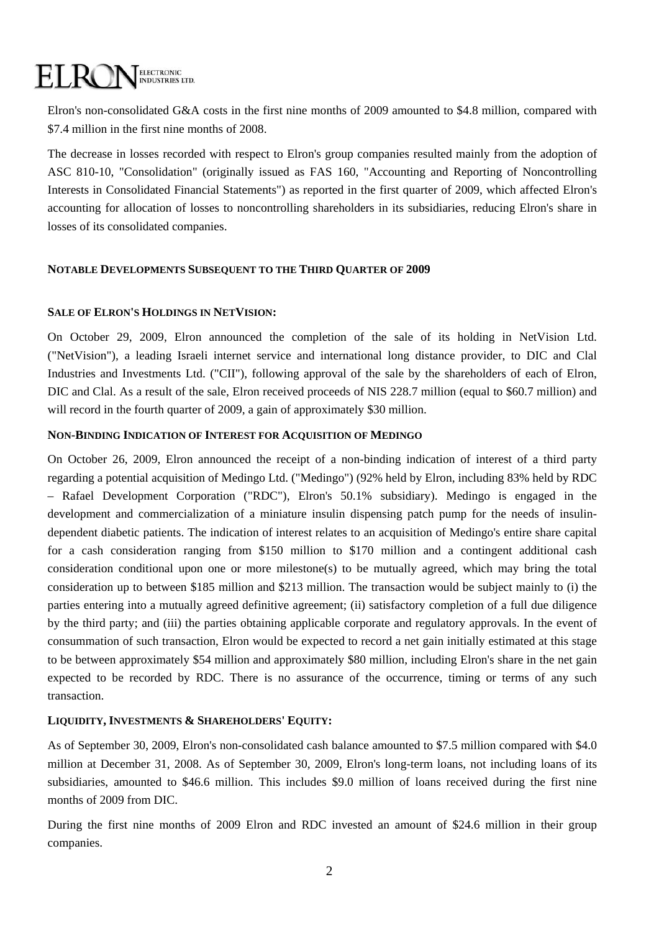# ELECTRONIC<br>INDUSTRIES LTD. ELROI

Elron's non-consolidated G&A costs in the first nine months of 2009 amounted to \$4.8 million, compared with \$7.4 million in the first nine months of 2008.

The decrease in losses recorded with respect to Elron's group companies resulted mainly from the adoption of ASC 810-10, "Consolidation" (originally issued as FAS 160, "Accounting and Reporting of Noncontrolling Interests in Consolidated Financial Statements") as reported in the first quarter of 2009, which affected Elron's accounting for allocation of losses to noncontrolling shareholders in its subsidiaries, reducing Elron's share in losses of its consolidated companies.

## **NOTABLE DEVELOPMENTS SUBSEQUENT TO THE THIRD QUARTER OF 2009**

### **SALE OF ELRON'S HOLDINGS IN NETVISION:**

On October 29, 2009, Elron announced the completion of the sale of its holding in NetVision Ltd. ("NetVision"), a leading Israeli internet service and international long distance provider, to DIC and Clal Industries and Investments Ltd. ("CII"), following approval of the sale by the shareholders of each of Elron, DIC and Clal. As a result of the sale, Elron received proceeds of NIS 228.7 million (equal to \$60.7 million) and will record in the fourth quarter of 2009, a gain of approximately \$30 million.

### **NON-BINDING INDICATION OF INTEREST FOR ACQUISITION OF MEDINGO**

On October 26, 2009, Elron announced the receipt of a non-binding indication of interest of a third party regarding a potential acquisition of Medingo Ltd. ("Medingo") (92% held by Elron, including 83% held by RDC – Rafael Development Corporation ("RDC"), Elron's 50.1% subsidiary). Medingo is engaged in the development and commercialization of a miniature insulin dispensing patch pump for the needs of insulindependent diabetic patients. The indication of interest relates to an acquisition of Medingo's entire share capital for a cash consideration ranging from \$150 million to \$170 million and a contingent additional cash consideration conditional upon one or more milestone(s) to be mutually agreed, which may bring the total consideration up to between \$185 million and \$213 million. The transaction would be subject mainly to (i) the parties entering into a mutually agreed definitive agreement; (ii) satisfactory completion of a full due diligence by the third party; and (iii) the parties obtaining applicable corporate and regulatory approvals. In the event of consummation of such transaction, Elron would be expected to record a net gain initially estimated at this stage to be between approximately \$54 million and approximately \$80 million, including Elron's share in the net gain expected to be recorded by RDC. There is no assurance of the occurrence, timing or terms of any such transaction.

## **LIQUIDITY, INVESTMENTS & SHAREHOLDERS' EQUITY:**

As of September 30, 2009, Elron's non-consolidated cash balance amounted to \$7.5 million compared with \$4.0 million at December 31, 2008. As of September 30, 2009, Elron's long-term loans, not including loans of its subsidiaries, amounted to \$46.6 million. This includes \$9.0 million of loans received during the first nine months of 2009 from DIC.

During the first nine months of 2009 Elron and RDC invested an amount of \$24.6 million in their group companies.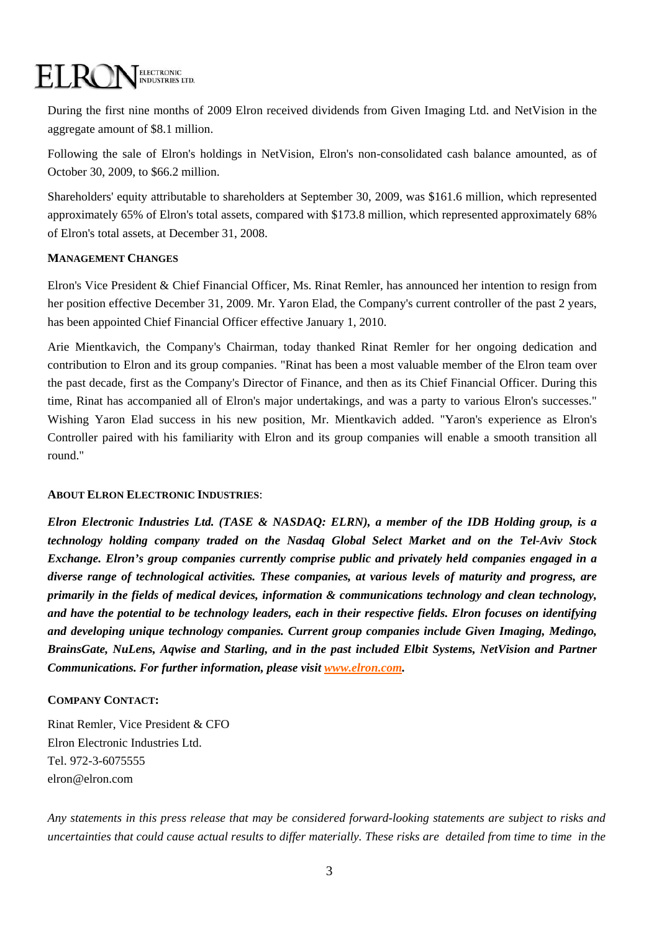# ELECTRONIC<br>INDUSTRIES LTD. EL RC

During the first nine months of 2009 Elron received dividends from Given Imaging Ltd. and NetVision in the aggregate amount of \$8.1 million.

Following the sale of Elron's holdings in NetVision, Elron's non-consolidated cash balance amounted, as of October 30, 2009, to \$66.2 million.

Shareholders' equity attributable to shareholders at September 30, 2009, was \$161.6 million, which represented approximately 65% of Elron's total assets, compared with \$173.8 million, which represented approximately 68% of Elron's total assets, at December 31, 2008.

## **MANAGEMENT CHANGES**

Elron's Vice President & Chief Financial Officer, Ms. Rinat Remler, has announced her intention to resign from her position effective December 31, 2009. Mr. Yaron Elad, the Company's current controller of the past 2 years, has been appointed Chief Financial Officer effective January 1, 2010.

Arie Mientkavich, the Company's Chairman, today thanked Rinat Remler for her ongoing dedication and contribution to Elron and its group companies. "Rinat has been a most valuable member of the Elron team over the past decade, first as the Company's Director of Finance, and then as its Chief Financial Officer. During this time, Rinat has accompanied all of Elron's major undertakings, and was a party to various Elron's successes." Wishing Yaron Elad success in his new position, Mr. Mientkavich added. "Yaron's experience as Elron's Controller paired with his familiarity with Elron and its group companies will enable a smooth transition all round."

#### **ABOUT ELRON ELECTRONIC INDUSTRIES**:

*Elron Electronic Industries Ltd. (TASE & NASDAQ: ELRN), a member of the IDB Holding group, is a technology holding company traded on the Nasdaq Global Select Market and on the Tel-Aviv Stock Exchange. Elron's group companies currently comprise public and privately held companies engaged in a diverse range of technological activities. These companies, at various levels of maturity and progress, are primarily in the fields of medical devices, information & communications technology and clean technology, and have the potential to be technology leaders, each in their respective fields. Elron focuses on identifying and developing unique technology companies. Current group companies include Given Imaging, Medingo, BrainsGate, NuLens, Aqwise and Starling, and in the past included Elbit Systems, NetVision and Partner Communications. For further information, please visit<www.elron.com>.* 

## **COMPANY CONTACT:**

Rinat Remler, Vice President & CFO Elron Electronic Industries Ltd. Tel. 972-3-6075555 elron@elron.com

*Any statements in this press release that may be considered forward-looking statements are subject to risks and uncertainties that could cause actual results to differ materially. These risks are detailed from time to time in the*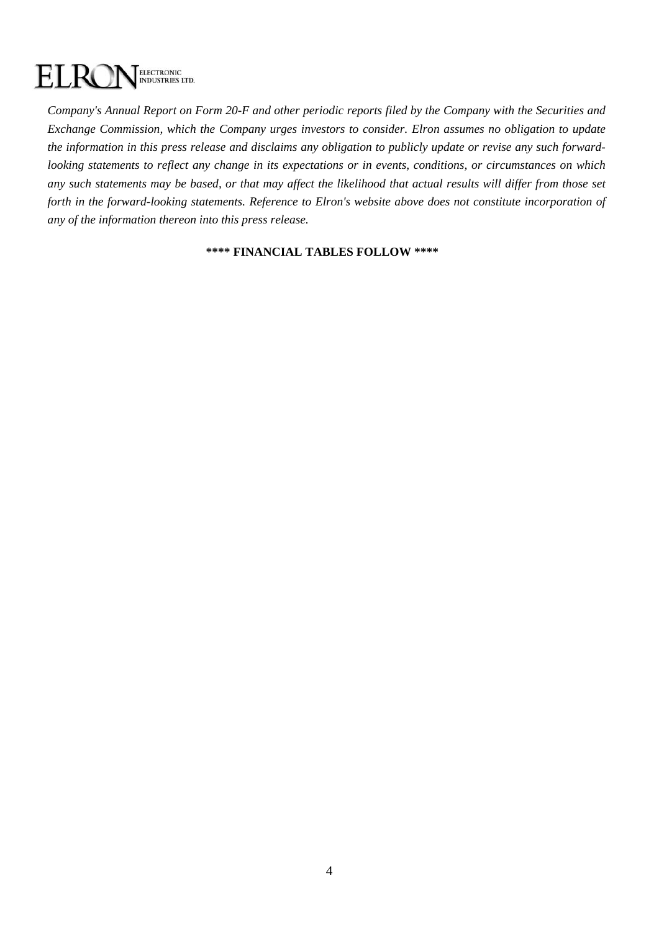#### ELECTRONIC<br>INDUSTRIES LTD. EL. R(

*Company's Annual Report on Form 20-F and other periodic reports filed by the Company with the Securities and Exchange Commission, which the Company urges investors to consider. Elron assumes no obligation to update the information in this press release and disclaims any obligation to publicly update or revise any such forwardlooking statements to reflect any change in its expectations or in events, conditions, or circumstances on which any such statements may be based, or that may affect the likelihood that actual results will differ from those set forth in the forward-looking statements. Reference to Elron's website above does not constitute incorporation of any of the information thereon into this press release.* 

#### **\*\*\*\* FINANCIAL TABLES FOLLOW \*\*\*\***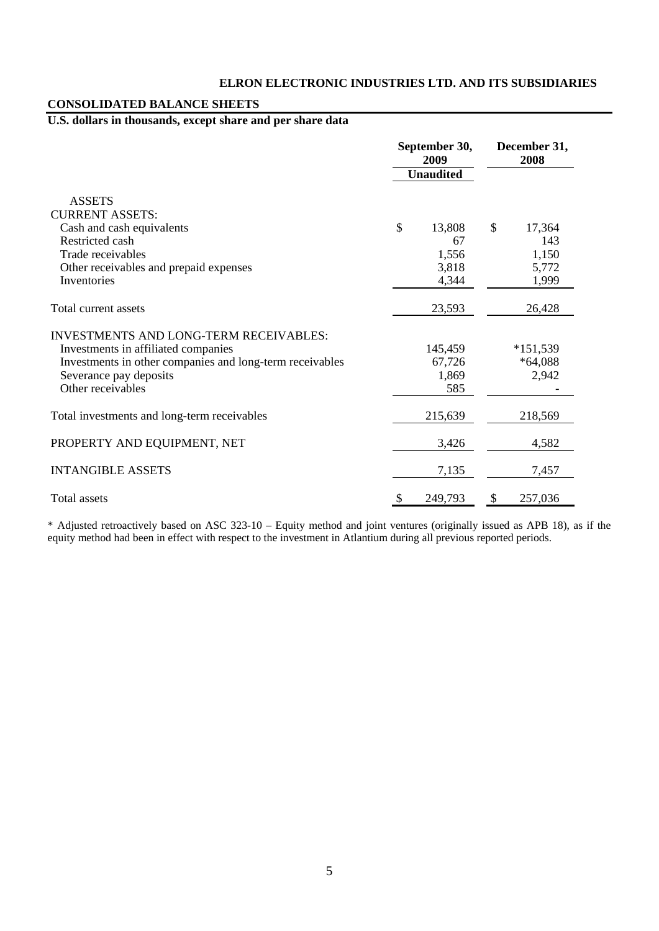# **ELRON ELECTRONIC INDUSTRIES LTD. AND ITS SUBSIDIARIES**

# **CONSOLIDATED BALANCE SHEETS**

# **U.S. dollars in thousands, except share and per share data**

|                                                          | September 30,<br>2009<br><b>Unaudited</b> |         | December 31,<br>2008 |            |
|----------------------------------------------------------|-------------------------------------------|---------|----------------------|------------|
|                                                          |                                           |         |                      |            |
| <b>ASSETS</b>                                            |                                           |         |                      |            |
| <b>CURRENT ASSETS:</b>                                   |                                           |         |                      |            |
| Cash and cash equivalents                                | \$                                        | 13,808  | \$                   | 17,364     |
| Restricted cash                                          |                                           | 67      |                      | 143        |
| Trade receivables                                        |                                           | 1,556   |                      | 1,150      |
| Other receivables and prepaid expenses                   |                                           | 3,818   |                      | 5,772      |
| Inventories                                              |                                           | 4,344   |                      | 1,999      |
| Total current assets                                     |                                           | 23,593  |                      | 26,428     |
| <b>INVESTMENTS AND LONG-TERM RECEIVABLES:</b>            |                                           |         |                      |            |
| Investments in affiliated companies                      |                                           | 145,459 |                      | $*151,539$ |
| Investments in other companies and long-term receivables |                                           | 67,726  |                      | $*64,088$  |
| Severance pay deposits                                   |                                           | 1,869   |                      | 2,942      |
| Other receivables                                        |                                           | 585     |                      |            |
| Total investments and long-term receivables              |                                           | 215,639 |                      | 218,569    |
| PROPERTY AND EQUIPMENT, NET                              |                                           | 3,426   |                      | 4,582      |
| <b>INTANGIBLE ASSETS</b>                                 |                                           | 7,135   |                      | 7,457      |
| Total assets                                             | \$                                        | 249,793 | \$                   | 257,036    |

\* Adjusted retroactively based on ASC 323-10 – Equity method and joint ventures (originally issued as APB 18), as if the equity method had been in effect with respect to the investment in Atlantium during all previous reported periods.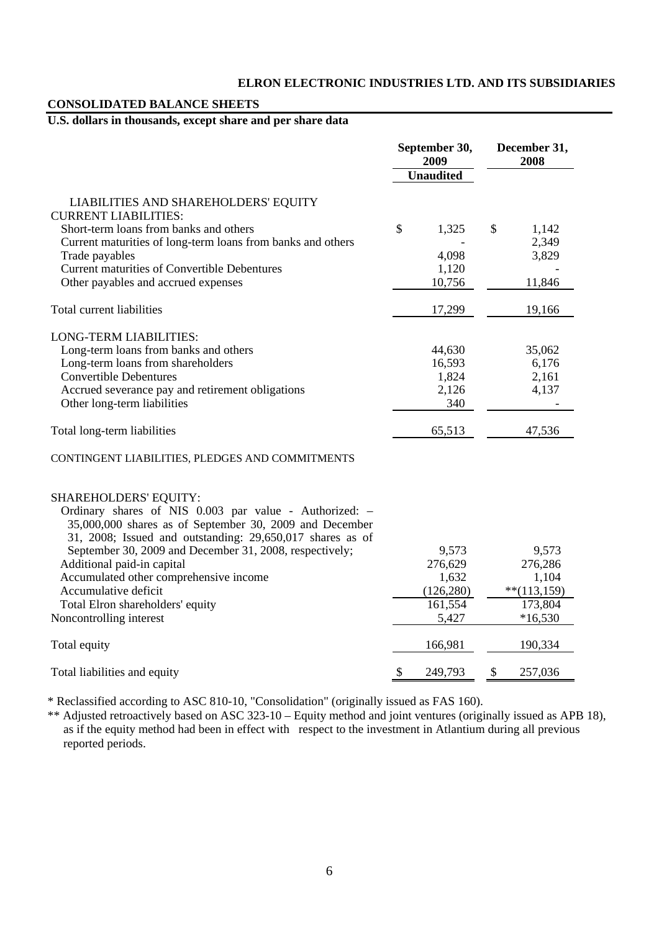# **ELRON ELECTRONIC INDUSTRIES LTD. AND ITS SUBSIDIARIES**

# **CONSOLIDATED BALANCE SHEETS**

# **U.S. dollars in thousands, except share and per share data**

|                                                                                                                                                                                                         | September 30,<br>2009 |                  | December 31,<br>2008 |                |
|---------------------------------------------------------------------------------------------------------------------------------------------------------------------------------------------------------|-----------------------|------------------|----------------------|----------------|
|                                                                                                                                                                                                         |                       | <b>Unaudited</b> |                      |                |
| LIABILITIES AND SHAREHOLDERS' EQUITY<br><b>CURRENT LIABILITIES:</b>                                                                                                                                     |                       |                  |                      |                |
| Short-term loans from banks and others<br>Current maturities of long-term loans from banks and others                                                                                                   | \$                    | 1,325            | \$                   | 1,142<br>2,349 |
| Trade payables                                                                                                                                                                                          |                       | 4,098            |                      | 3,829          |
| <b>Current maturities of Convertible Debentures</b>                                                                                                                                                     |                       | 1,120            |                      |                |
| Other payables and accrued expenses                                                                                                                                                                     |                       | 10,756           |                      | 11,846         |
| Total current liabilities                                                                                                                                                                               |                       | 17,299           |                      | 19,166         |
| <b>LONG-TERM LIABILITIES:</b>                                                                                                                                                                           |                       |                  |                      |                |
| Long-term loans from banks and others                                                                                                                                                                   |                       | 44,630           |                      | 35,062         |
| Long-term loans from shareholders                                                                                                                                                                       |                       | 16,593           |                      | 6,176          |
| <b>Convertible Debentures</b>                                                                                                                                                                           |                       | 1,824            |                      | 2,161          |
| Accrued severance pay and retirement obligations                                                                                                                                                        |                       | 2,126            |                      | 4,137          |
| Other long-term liabilities                                                                                                                                                                             |                       | 340              |                      |                |
| Total long-term liabilities                                                                                                                                                                             |                       | 65,513           |                      | 47,536         |
| CONTINGENT LIABILITIES, PLEDGES AND COMMITMENTS                                                                                                                                                         |                       |                  |                      |                |
| SHAREHOLDERS' EQUITY:<br>Ordinary shares of NIS 0.003 par value - Authorized: -<br>35,000,000 shares as of September 30, 2009 and December<br>31, 2008; Issued and outstanding: 29,650,017 shares as of |                       |                  |                      |                |
| September 30, 2009 and December 31, 2008, respectively;                                                                                                                                                 |                       | 9,573            |                      | 9,573          |
| Additional paid-in capital                                                                                                                                                                              |                       | 276,629          |                      | 276,286        |
| Accumulated other comprehensive income                                                                                                                                                                  |                       | 1,632            |                      | 1,104          |
| Accumulative deficit                                                                                                                                                                                    |                       | (126, 280)       |                      | $**$ (113,159) |
| Total Elron shareholders' equity                                                                                                                                                                        |                       | 161,554          |                      | 173,804        |
| Noncontrolling interest                                                                                                                                                                                 |                       | 5,427            |                      | $*16,530$      |
| Total equity                                                                                                                                                                                            |                       | 166,981          |                      | 190,334        |
| Total liabilities and equity                                                                                                                                                                            | \$                    | 249,793          | \$                   | 257,036        |

\* Reclassified according to ASC 810-10, "Consolidation" (originally issued as FAS 160).

\*\* Adjusted retroactively based on ASC 323-10 – Equity method and joint ventures (originally issued as APB 18), as if the equity method had been in effect with respect to the investment in Atlantium during all previous reported periods.